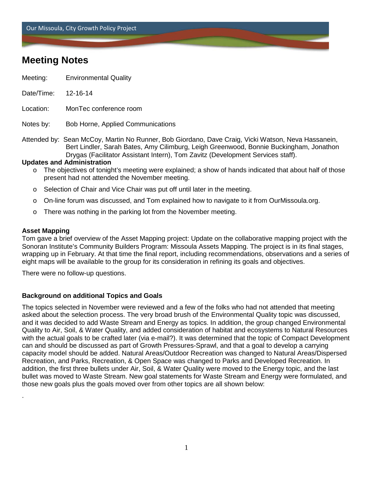Our Missoula, City Growth Policy Project

# **Meeting Notes**

- Meeting: Environmental Quality
- Date/Time: 12-16-14
- Location: MonTec conference room

Notes by: Bob Horne, Applied Communications

Attended by: Sean McCoy, Martin No Runner, Bob Giordano, Dave Craig, Vicki Watson, Neva Hassanein, Bert Lindler, Sarah Bates, Amy Cilimburg, Leigh Greenwood, Bonnie Buckingham, Jonathon Drygas (Facilitator Assistant Intern), Tom Zavitz (Development Services staff).

### **Updates and Administration**

- o The objectives of tonight's meeting were explained; a show of hands indicated that about half of those present had not attended the November meeting.
- $\circ$  Selection of Chair and Vice Chair was put off until later in the meeting.
- o On-line forum was discussed, and Tom explained how to navigate to it from OurMissoula.org.
- o There was nothing in the parking lot from the November meeting.

#### **Asset Mapping**

.

Tom gave a brief overview of the Asset Mapping project: Update on the collaborative mapping project with the Sonoran Institute's Community Builders Program: Missoula Assets Mapping. The project is in its final stages, wrapping up in February. At that time the final report, including recommendations, observations and a series of eight maps will be available to the group for its consideration in refining its goals and objectives.

There were no follow-up questions.

### **Background on additional Topics and Goals**

The topics selected in November were reviewed and a few of the folks who had not attended that meeting asked about the selection process. The very broad brush of the Environmental Quality topic was discussed, and it was decided to add Waste Stream and Energy as topics. In addition, the group changed Environmental Quality to Air, Soil, & Water Quality, and added consideration of habitat and ecosystems to Natural Resources with the actual goals to be crafted later (via e-mail?). It was determined that the topic of Compact Development can and should be discussed as part of Growth Pressures-Sprawl, and that a goal to develop a carrying capacity model should be added. Natural Areas/Outdoor Recreation was changed to Natural Areas/Dispersed Recreation, and Parks, Recreation, & Open Space was changed to Parks and Developed Recreation. In addition, the first three bullets under Air, Soil, & Water Quality were moved to the Energy topic, and the last bullet was moved to Waste Stream. New goal statements for Waste Stream and Energy were formulated, and those new goals plus the goals moved over from other topics are all shown below: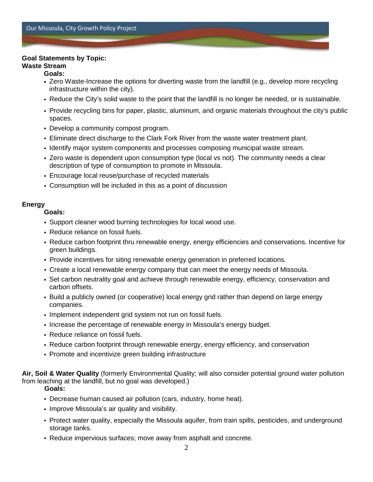### **Goal Statements by Topic:**

## **Waste Stream**

### **Goals:**

- Zero Waste-Increase the options for diverting waste from the landfill (e.g., develop more recycling infrastructure within the city).
- Reduce the City's solid waste to the point that the landfill is no longer be needed, or is sustainable.
- Provide recycling bins for paper, plastic, aluminum, and organic materials throughout the city's public spaces.
- Develop a community compost program.
- Eliminate direct discharge to the Clark Fork River from the waste water treatment plant.
- Identify major system components and processes composing municipal waste stream.
- Zero waste is dependent upon consumption type (local vs not). The community needs a clear description of type of consumption to promote in Missoula.
- Encourage local reuse/purchase of recycled materials
- Consumption will be included in this as a point of discussion

### **Energy**

**Goals:**

- Support cleaner wood burning technologies for local wood use.
- Reduce reliance on fossil fuels.
- Reduce carbon footprint thru renewable energy, energy efficiencies and conservations. Incentive for green buildings.
- Provide incentives for siting renewable energy generation in preferred locations.
- Create a local renewable energy company that can meet the energy needs of Missoula.
- Set carbon neutrality goal and achieve through renewable energy, efficiency, conservation and carbon offsets.
- Build a publicly owned (or cooperative) local energy grid rather than depend on large energy companies.
- Implement independent grid system not run on fossil fuels.
- Increase the percentage of renewable energy in Missoula's energy budget.
- Reduce reliance on fossil fuels.
- Reduce carbon footprint through renewable energy, energy efficiency, and conservation
- Promote and incentivize green building infrastructure

**Air, Soil & Water Quality** (formerly Environmental Quality; will also consider potential ground water pollution from leaching at the landfill, but no goal was developed.)

**Goals:**

- Decrease human caused air pollution (cars, industry, home heat).
- Improve Missoula's air quality and visibility.
- Protect water quality, especially the Missoula aquifer, from train spills, pesticides, and underground storage tanks.
- Reduce impervious surfaces; move away from asphalt and concrete.